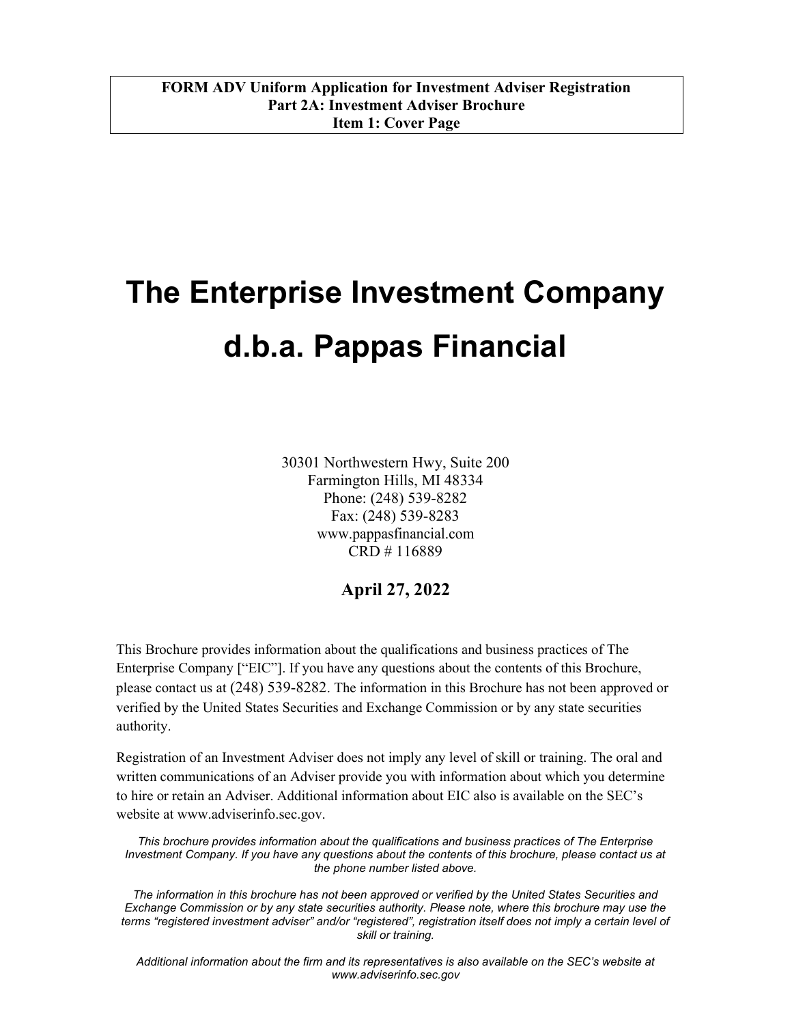$\overline{L}$ 

# The Enterprise Investment Company d.b.a. Pappas Financial

30301 Northwestern Hwy, Suite 200 Farmington Hills, MI 48334 Phone: (248) 539-8282 Fax: (248) 539-8283 www.pappasfinancial.com CRD # 116889

# April 27, 2022

This Brochure provides information about the qualifications and business practices of The Enterprise Company ["EIC"]. If you have any questions about the contents of this Brochure, please contact us at (248) 539-8282. The information in this Brochure has not been approved or verified by the United States Securities and Exchange Commission or by any state securities authority.

Registration of an Investment Adviser does not imply any level of skill or training. The oral and written communications of an Adviser provide you with information about which you determine to hire or retain an Adviser. Additional information about EIC also is available on the SEC's website at www.adviserinfo.sec.gov.

This brochure provides information about the qualifications and business practices of The Enterprise Investment Company. If you have any questions about the contents of this brochure, please contact us at the phone number listed above.

The information in this brochure has not been approved or verified by the United States Securities and Exchange Commission or by any state securities authority. Please note, where this brochure may use the terms "registered investment adviser" and/or "registered", registration itself does not imply a certain level of skill or training.

Additional information about the firm and its representatives is also available on the SEC's website at www.adviserinfo.sec.gov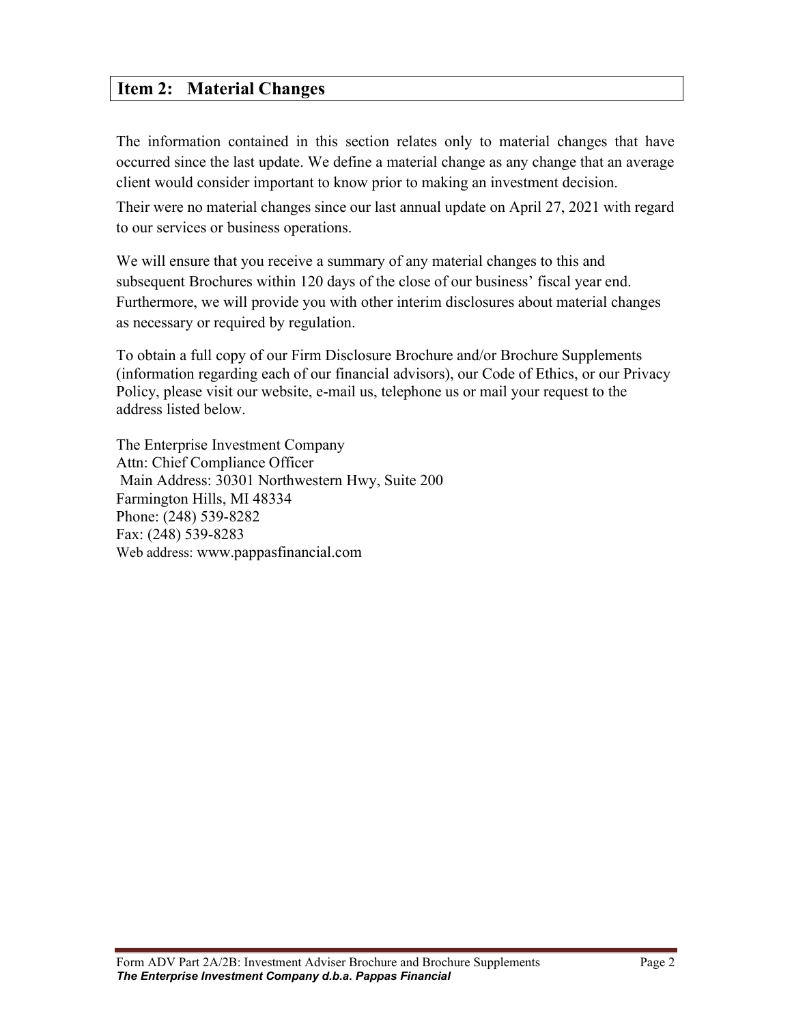# Item 2: Material Changes

The information contained in this section relates only to material changes that have occurred since the last update. We define a material change as any change that an average client would consider important to know prior to making an investment decision.

Their were no material changes since our last annual update on April 27, 2021 with regard to our services or business operations.

We will ensure that you receive a summary of any material changes to this and subsequent Brochures within 120 days of the close of our business' fiscal year end. Furthermore, we will provide you with other interim disclosures about material changes as necessary or required by regulation.

To obtain a full copy of our Firm Disclosure Brochure and/or Brochure Supplements (information regarding each of our financial advisors), our Code of Ethics, or our Privacy Policy, please visit our website, e-mail us, telephone us or mail your request to the address listed below.

The Enterprise Investment Company Attn: Chief Compliance Officer Main Address: 30301 Northwestern Hwy, Suite 200 Farmington Hills, MI 48334 Phone: (248) 539-8282 Fax: (248) 539-8283 Web address: www.pappasfinancial.com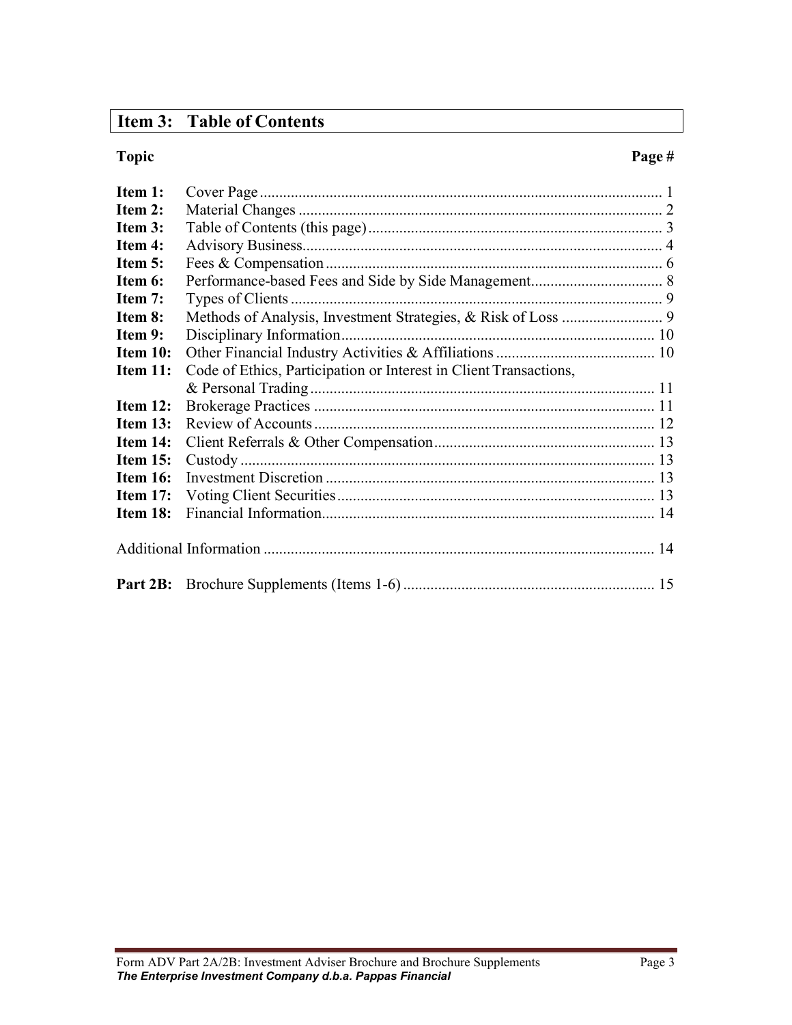# Item 3: Table of Contents

 $\overline{L}$ 

#### Topic Page #

| Item 1:        |                                                                   |
|----------------|-------------------------------------------------------------------|
| Item 2:        |                                                                   |
| Item 3:        |                                                                   |
| Item 4:        |                                                                   |
| Item $5:$      |                                                                   |
| <b>Item 6:</b> |                                                                   |
| <b>Item 7:</b> |                                                                   |
| <b>Item 8:</b> |                                                                   |
| Item 9:        |                                                                   |
| Item 10:       |                                                                   |
| Item 11:       | Code of Ethics, Participation or Interest in Client Transactions, |
|                |                                                                   |
| Item $12$ :    |                                                                   |
| Item $13:$     |                                                                   |
| Item 14:       |                                                                   |
| Item 15:       |                                                                   |
| Item 16:       |                                                                   |
| Item $17$ :    |                                                                   |
| Item 18:       |                                                                   |
|                |                                                                   |
|                |                                                                   |
|                |                                                                   |
|                |                                                                   |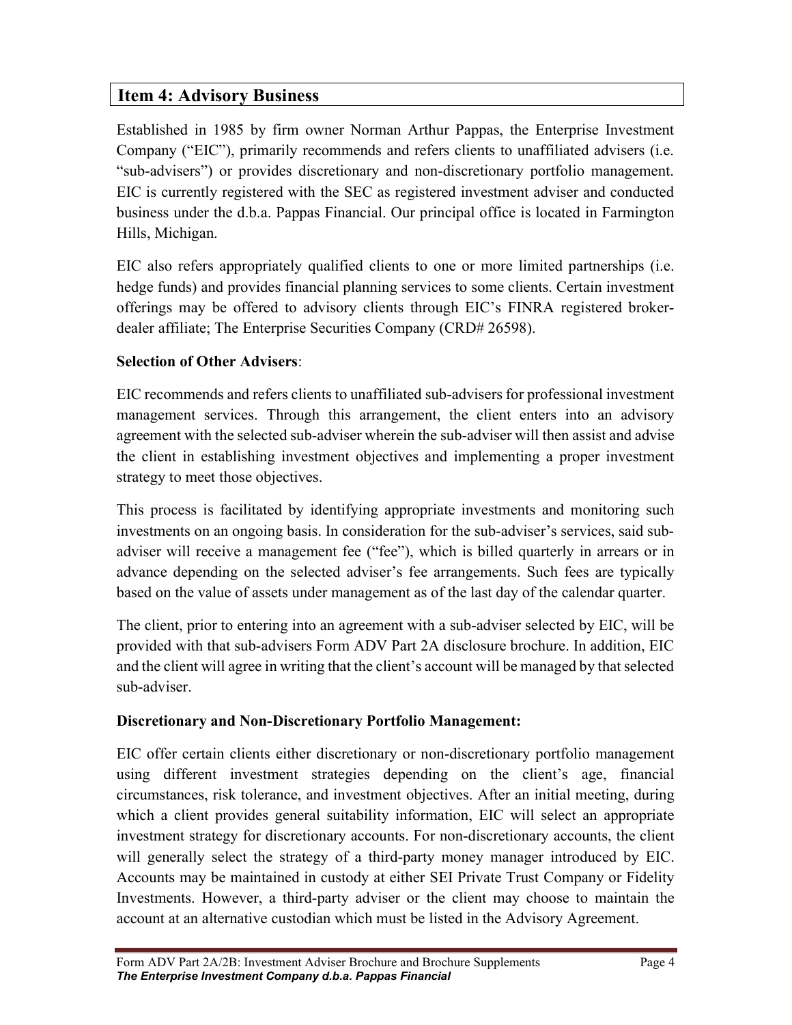# Item 4: Advisory Business

 $\overline{L}$ 

Established in 1985 by firm owner Norman Arthur Pappas, the Enterprise Investment Company ("EIC"), primarily recommends and refers clients to unaffiliated advisers (i.e. "sub-advisers") or provides discretionary and non-discretionary portfolio management. EIC is currently registered with the SEC as registered investment adviser and conducted business under the d.b.a. Pappas Financial. Our principal office is located in Farmington Hills, Michigan.

EIC also refers appropriately qualified clients to one or more limited partnerships (i.e. hedge funds) and provides financial planning services to some clients. Certain investment offerings may be offered to advisory clients through EIC's FINRA registered brokerdealer affiliate; The Enterprise Securities Company (CRD# 26598).

## Selection of Other Advisers:

EIC recommends and refers clients to unaffiliated sub-advisers for professional investment management services. Through this arrangement, the client enters into an advisory agreement with the selected sub-adviser wherein the sub-adviser will then assist and advise the client in establishing investment objectives and implementing a proper investment strategy to meet those objectives.

This process is facilitated by identifying appropriate investments and monitoring such investments on an ongoing basis. In consideration for the sub-adviser's services, said subadviser will receive a management fee ("fee"), which is billed quarterly in arrears or in advance depending on the selected adviser's fee arrangements. Such fees are typically based on the value of assets under management as of the last day of the calendar quarter.

The client, prior to entering into an agreement with a sub-adviser selected by EIC, will be provided with that sub-advisers Form ADV Part 2A disclosure brochure. In addition, EIC and the client will agree in writing that the client's account will be managed by that selected sub-adviser.

# Discretionary and Non-Discretionary Portfolio Management:

EIC offer certain clients either discretionary or non-discretionary portfolio management using different investment strategies depending on the client's age, financial circumstances, risk tolerance, and investment objectives. After an initial meeting, during which a client provides general suitability information, EIC will select an appropriate investment strategy for discretionary accounts. For non-discretionary accounts, the client will generally select the strategy of a third-party money manager introduced by EIC. Accounts may be maintained in custody at either SEI Private Trust Company or Fidelity Investments. However, a third-party adviser or the client may choose to maintain the account at an alternative custodian which must be listed in the Advisory Agreement.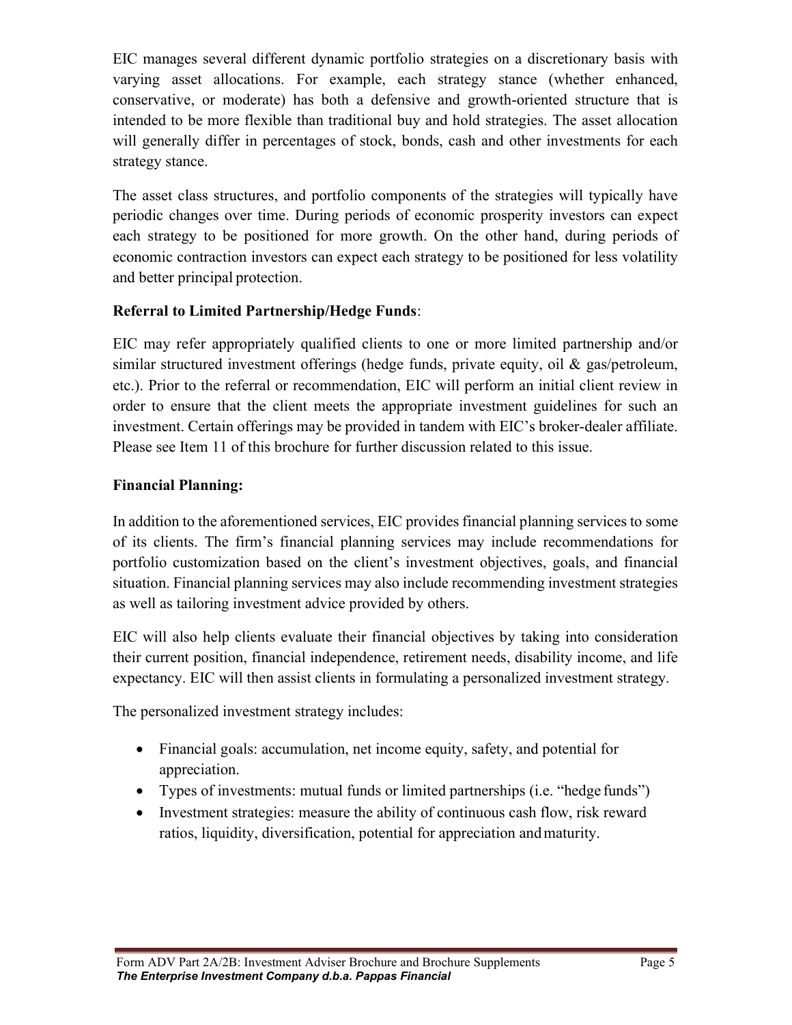EIC manages several different dynamic portfolio strategies on a discretionary basis with varying asset allocations. For example, each strategy stance (whether enhanced, conservative, or moderate) has both a defensive and growth-oriented structure that is intended to be more flexible than traditional buy and hold strategies. The asset allocation will generally differ in percentages of stock, bonds, cash and other investments for each strategy stance.

The asset class structures, and portfolio components of the strategies will typically have periodic changes over time. During periods of economic prosperity investors can expect each strategy to be positioned for more growth. On the other hand, during periods of economic contraction investors can expect each strategy to be positioned for less volatility and better principal protection.

### Referral to Limited Partnership/Hedge Funds:

EIC may refer appropriately qualified clients to one or more limited partnership and/or similar structured investment offerings (hedge funds, private equity, oil & gas/petroleum, etc.). Prior to the referral or recommendation, EIC will perform an initial client review in order to ensure that the client meets the appropriate investment guidelines for such an investment. Certain offerings may be provided in tandem with EIC's broker-dealer affiliate. Please see Item 11 of this brochure for further discussion related to this issue.

#### Financial Planning:

In addition to the aforementioned services, EIC provides financial planning services to some of its clients. The firm's financial planning services may include recommendations for portfolio customization based on the client's investment objectives, goals, and financial situation. Financial planning services may also include recommending investment strategies as well as tailoring investment advice provided by others.

EIC will also help clients evaluate their financial objectives by taking into consideration their current position, financial independence, retirement needs, disability income, and life expectancy. EIC will then assist clients in formulating a personalized investment strategy.

The personalized investment strategy includes:

- Financial goals: accumulation, net income equity, safety, and potential for appreciation.
- Types of investments: mutual funds or limited partnerships (i.e. "hedge funds")
- Investment strategies: measure the ability of continuous cash flow, risk reward ratios, liquidity, diversification, potential for appreciation and maturity.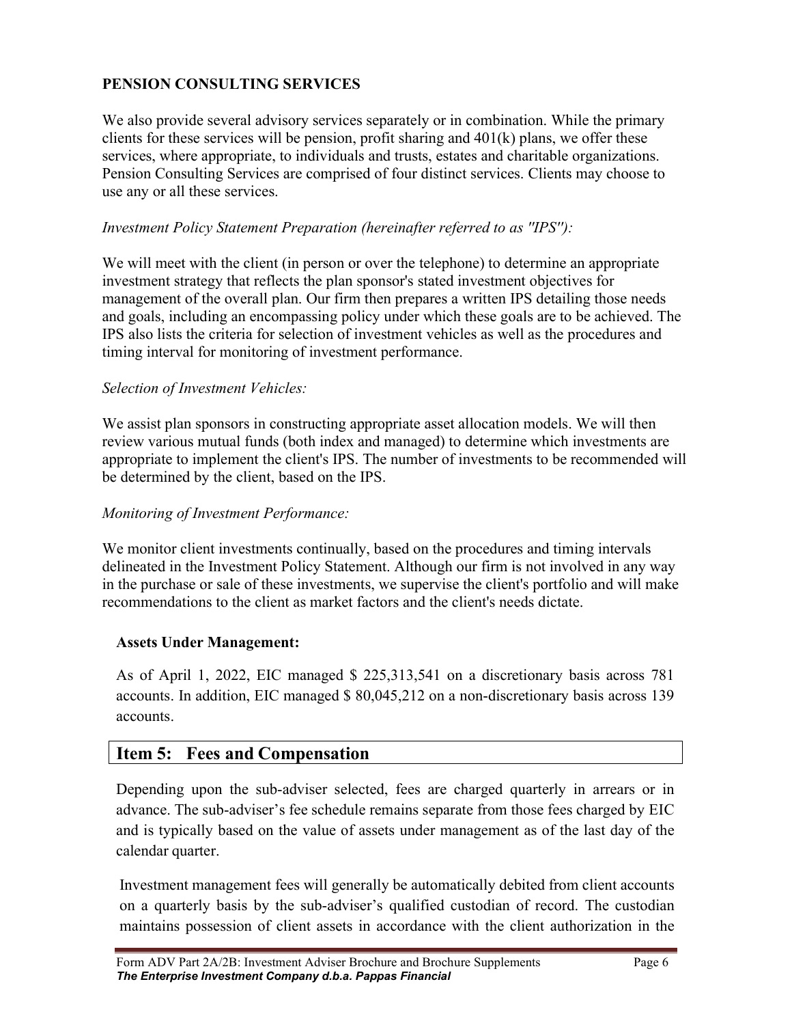### PENSION CONSULTING SERVICES

We also provide several advisory services separately or in combination. While the primary clients for these services will be pension, profit sharing and  $401(k)$  plans, we offer these services, where appropriate, to individuals and trusts, estates and charitable organizations. Pension Consulting Services are comprised of four distinct services. Clients may choose to use any or all these services.

#### Investment Policy Statement Preparation (hereinafter referred to as ''IPS''):

We will meet with the client (in person or over the telephone) to determine an appropriate investment strategy that reflects the plan sponsor's stated investment objectives for management of the overall plan. Our firm then prepares a written IPS detailing those needs and goals, including an encompassing policy under which these goals are to be achieved. The IPS also lists the criteria for selection of investment vehicles as well as the procedures and timing interval for monitoring of investment performance.

#### Selection of Investment Vehicles:

We assist plan sponsors in constructing appropriate asset allocation models. We will then review various mutual funds (both index and managed) to determine which investments are appropriate to implement the client's IPS. The number of investments to be recommended will be determined by the client, based on the IPS.

#### Monitoring of Investment Performance:

We monitor client investments continually, based on the procedures and timing intervals delineated in the Investment Policy Statement. Although our firm is not involved in any way in the purchase or sale of these investments, we supervise the client's portfolio and will make recommendations to the client as market factors and the client's needs dictate.

#### Assets Under Management:

As of April 1, 2022, EIC managed \$ 225,313,541 on a discretionary basis across 781 accounts. In addition, EIC managed \$ 80,045,212 on a non-discretionary basis across 139 accounts.

### Item 5: Fees and Compensation

Depending upon the sub-adviser selected, fees are charged quarterly in arrears or in advance. The sub-adviser's fee schedule remains separate from those fees charged by EIC and is typically based on the value of assets under management as of the last day of the calendar quarter.

Investment management fees will generally be automatically debited from client accounts on a quarterly basis by the sub-adviser's qualified custodian of record. The custodian maintains possession of client assets in accordance with the client authorization in the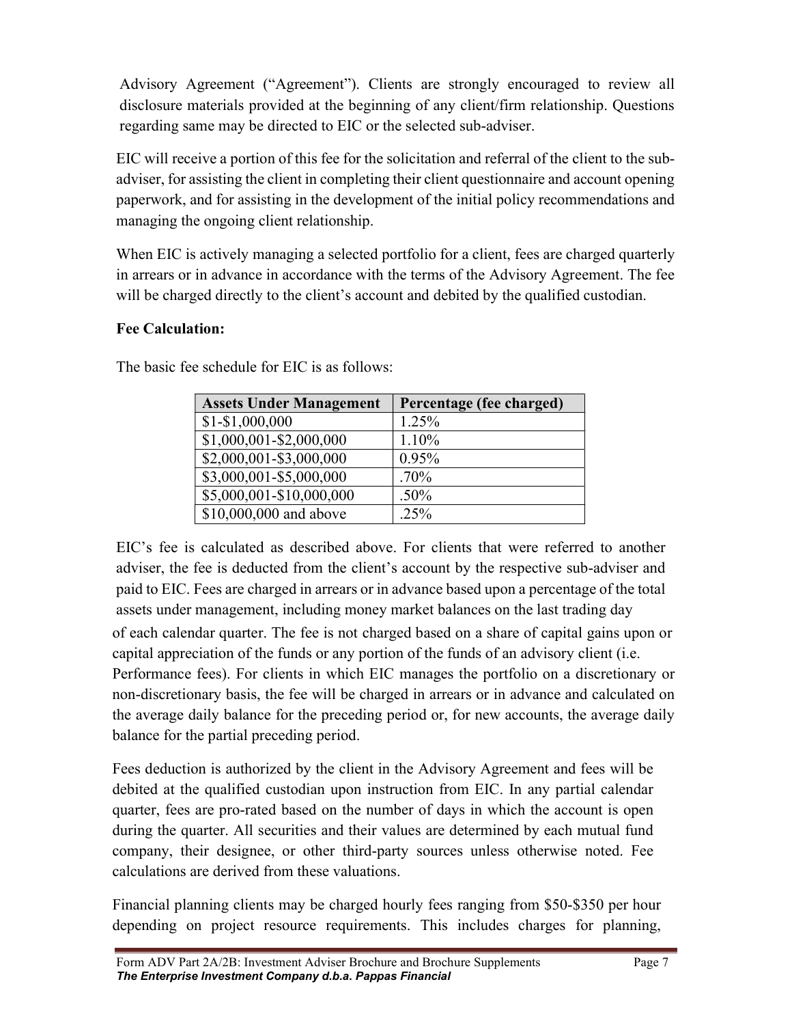Advisory Agreement ("Agreement"). Clients are strongly encouraged to review all disclosure materials provided at the beginning of any client/firm relationship. Questions regarding same may be directed to EIC or the selected sub-adviser.

EIC will receive a portion of this fee for the solicitation and referral of the client to the subadviser, for assisting the client in completing their client questionnaire and account opening paperwork, and for assisting in the development of the initial policy recommendations and managing the ongoing client relationship.

When EIC is actively managing a selected portfolio for a client, fees are charged quarterly in arrears or in advance in accordance with the terms of the Advisory Agreement. The fee will be charged directly to the client's account and debited by the qualified custodian.

## Fee Calculation:

| <b>Assets Under Management</b> | Percentage (fee charged) |
|--------------------------------|--------------------------|
| $$1 - $1,000,000$              | 1.25%                    |
| $$1,000,001 - $2,000,000$      | 1.10%                    |
| \$2,000,001-\$3,000,000        | 0.95%                    |
| \$3,000,001-\$5,000,000        | $.70\%$                  |
| \$5,000,001-\$10,000,000       | .50%                     |
| \$10,000,000 and above         | .25%                     |

The basic fee schedule for EIC is as follows:

EIC's fee is calculated as described above. For clients that were referred to another adviser, the fee is deducted from the client's account by the respective sub-adviser and paid to EIC. Fees are charged in arrears or in advance based upon a percentage of the total assets under management, including money market balances on the last trading day of each calendar quarter. The fee is not charged based on a share of capital gains upon or capital appreciation of the funds or any portion of the funds of an advisory client (i.e. Performance fees). For clients in which EIC manages the portfolio on a discretionary or non-discretionary basis, the fee will be charged in arrears or in advance and calculated on the average daily balance for the preceding period or, for new accounts, the average daily balance for the partial preceding period.

Fees deduction is authorized by the client in the Advisory Agreement and fees will be debited at the qualified custodian upon instruction from EIC. In any partial calendar quarter, fees are pro-rated based on the number of days in which the account is open during the quarter. All securities and their values are determined by each mutual fund company, their designee, or other third-party sources unless otherwise noted. Fee calculations are derived from these valuations.

Financial planning clients may be charged hourly fees ranging from \$50-\$350 per hour depending on project resource requirements. This includes charges for planning,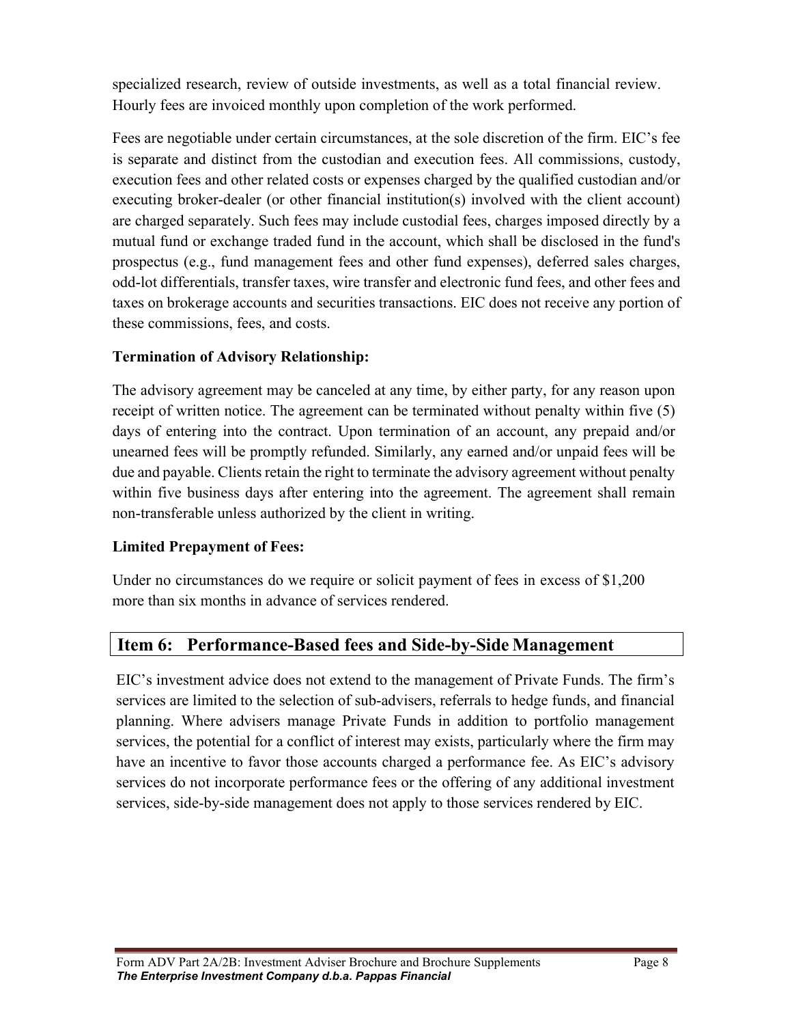specialized research, review of outside investments, as well as a total financial review. Hourly fees are invoiced monthly upon completion of the work performed.

Fees are negotiable under certain circumstances, at the sole discretion of the firm. EIC's fee is separate and distinct from the custodian and execution fees. All commissions, custody, execution fees and other related costs or expenses charged by the qualified custodian and/or executing broker-dealer (or other financial institution(s) involved with the client account) are charged separately. Such fees may include custodial fees, charges imposed directly by a mutual fund or exchange traded fund in the account, which shall be disclosed in the fund's prospectus (e.g., fund management fees and other fund expenses), deferred sales charges, odd-lot differentials, transfer taxes, wire transfer and electronic fund fees, and other fees and taxes on brokerage accounts and securities transactions. EIC does not receive any portion of these commissions, fees, and costs.

### Termination of Advisory Relationship:

The advisory agreement may be canceled at any time, by either party, for any reason upon receipt of written notice. The agreement can be terminated without penalty within five (5) days of entering into the contract. Upon termination of an account, any prepaid and/or unearned fees will be promptly refunded. Similarly, any earned and/or unpaid fees will be due and payable. Clients retain the right to terminate the advisory agreement without penalty within five business days after entering into the agreement. The agreement shall remain non-transferable unless authorized by the client in writing.

### Limited Prepayment of Fees:

 $\lfloor$ 

Under no circumstances do we require or solicit payment of fees in excess of \$1,200 more than six months in advance of services rendered.

# Item 6: Performance-Based fees and Side-by-Side Management

EIC's investment advice does not extend to the management of Private Funds. The firm's services are limited to the selection of sub-advisers, referrals to hedge funds, and financial planning. Where advisers manage Private Funds in addition to portfolio management services, the potential for a conflict of interest may exists, particularly where the firm may have an incentive to favor those accounts charged a performance fee. As EIC's advisory services do not incorporate performance fees or the offering of any additional investment services, side-by-side management does not apply to those services rendered by EIC.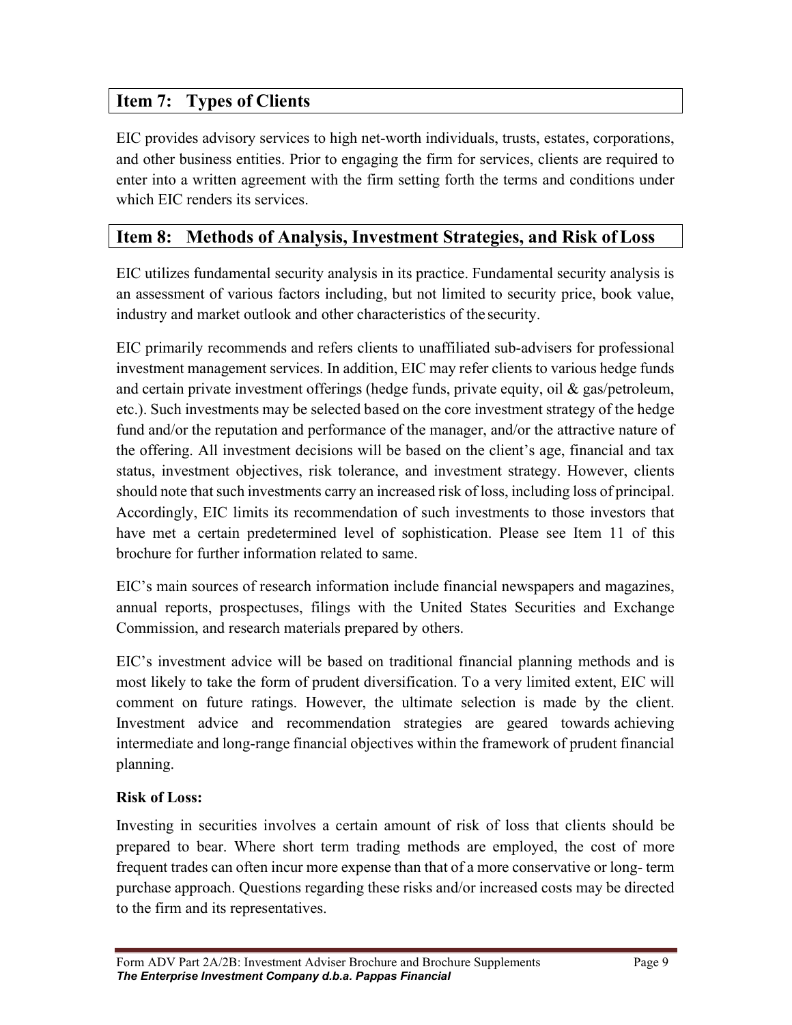# Item 7: Types of Clients

EIC provides advisory services to high net-worth individuals, trusts, estates, corporations, and other business entities. Prior to engaging the firm for services, clients are required to enter into a written agreement with the firm setting forth the terms and conditions under which EIC renders its services.

# Item 8: Methods of Analysis, Investment Strategies, and Risk of Loss

EIC utilizes fundamental security analysis in its practice. Fundamental security analysis is an assessment of various factors including, but not limited to security price, book value, industry and market outlook and other characteristics of the security.

EIC primarily recommends and refers clients to unaffiliated sub-advisers for professional investment management services. In addition, EIC may refer clients to various hedge funds and certain private investment offerings (hedge funds, private equity, oil  $\&$  gas/petroleum, etc.). Such investments may be selected based on the core investment strategy of the hedge fund and/or the reputation and performance of the manager, and/or the attractive nature of the offering. All investment decisions will be based on the client's age, financial and tax status, investment objectives, risk tolerance, and investment strategy. However, clients should note that such investments carry an increased risk of loss, including loss of principal. Accordingly, EIC limits its recommendation of such investments to those investors that have met a certain predetermined level of sophistication. Please see Item 11 of this brochure for further information related to same.

EIC's main sources of research information include financial newspapers and magazines, annual reports, prospectuses, filings with the United States Securities and Exchange Commission, and research materials prepared by others.

EIC's investment advice will be based on traditional financial planning methods and is most likely to take the form of prudent diversification. To a very limited extent, EIC will comment on future ratings. However, the ultimate selection is made by the client. Investment advice and recommendation strategies are geared towards achieving intermediate and long-range financial objectives within the framework of prudent financial planning.

### Risk of Loss:

Investing in securities involves a certain amount of risk of loss that clients should be prepared to bear. Where short term trading methods are employed, the cost of more frequent trades can often incur more expense than that of a more conservative or long- term purchase approach. Questions regarding these risks and/or increased costs may be directed to the firm and its representatives.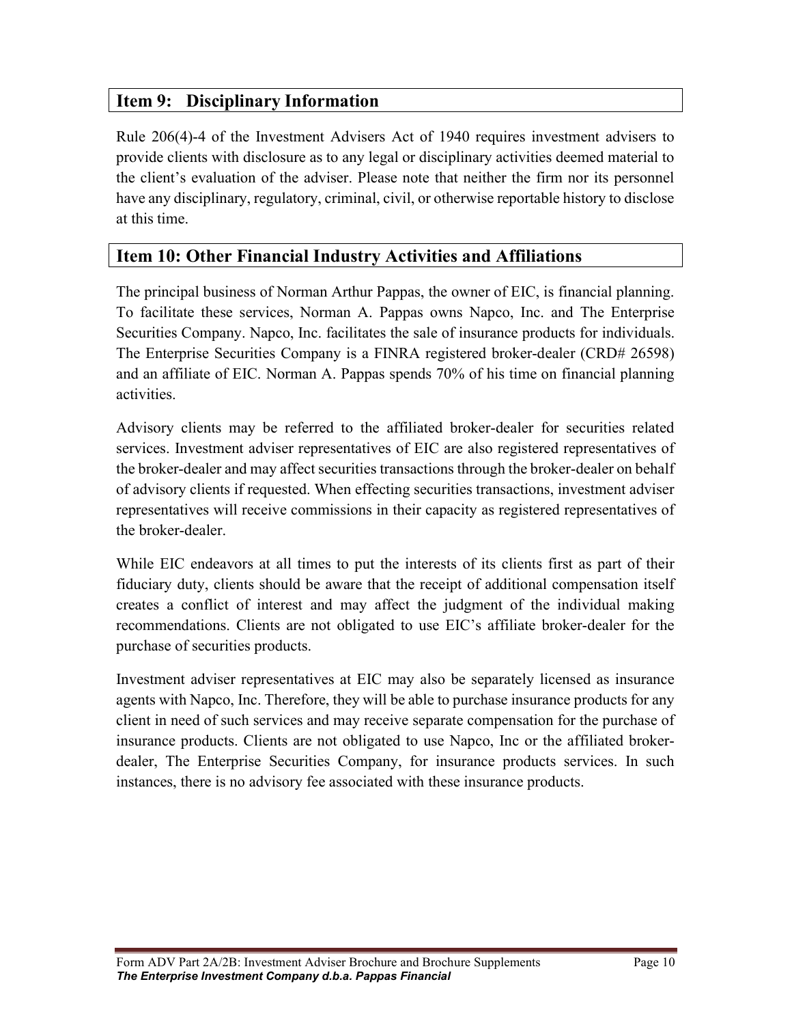# Item 9: Disciplinary Information

Rule 206(4)-4 of the Investment Advisers Act of 1940 requires investment advisers to provide clients with disclosure as to any legal or disciplinary activities deemed material to the client's evaluation of the adviser. Please note that neither the firm nor its personnel have any disciplinary, regulatory, criminal, civil, or otherwise reportable history to disclose at this time.

# Item 10: Other Financial Industry Activities and Affiliations

The principal business of Norman Arthur Pappas, the owner of EIC, is financial planning. To facilitate these services, Norman A. Pappas owns Napco, Inc. and The Enterprise Securities Company. Napco, Inc. facilitates the sale of insurance products for individuals. The Enterprise Securities Company is a FINRA registered broker-dealer (CRD# 26598) and an affiliate of EIC. Norman A. Pappas spends 70% of his time on financial planning activities.

Advisory clients may be referred to the affiliated broker-dealer for securities related services. Investment adviser representatives of EIC are also registered representatives of the broker-dealer and may affect securities transactions through the broker-dealer on behalf of advisory clients if requested. When effecting securities transactions, investment adviser representatives will receive commissions in their capacity as registered representatives of the broker-dealer.

While EIC endeavors at all times to put the interests of its clients first as part of their fiduciary duty, clients should be aware that the receipt of additional compensation itself creates a conflict of interest and may affect the judgment of the individual making recommendations. Clients are not obligated to use EIC's affiliate broker-dealer for the purchase of securities products.

Investment adviser representatives at EIC may also be separately licensed as insurance agents with Napco, Inc. Therefore, they will be able to purchase insurance products for any client in need of such services and may receive separate compensation for the purchase of insurance products. Clients are not obligated to use Napco, Inc or the affiliated brokerdealer, The Enterprise Securities Company, for insurance products services. In such instances, there is no advisory fee associated with these insurance products.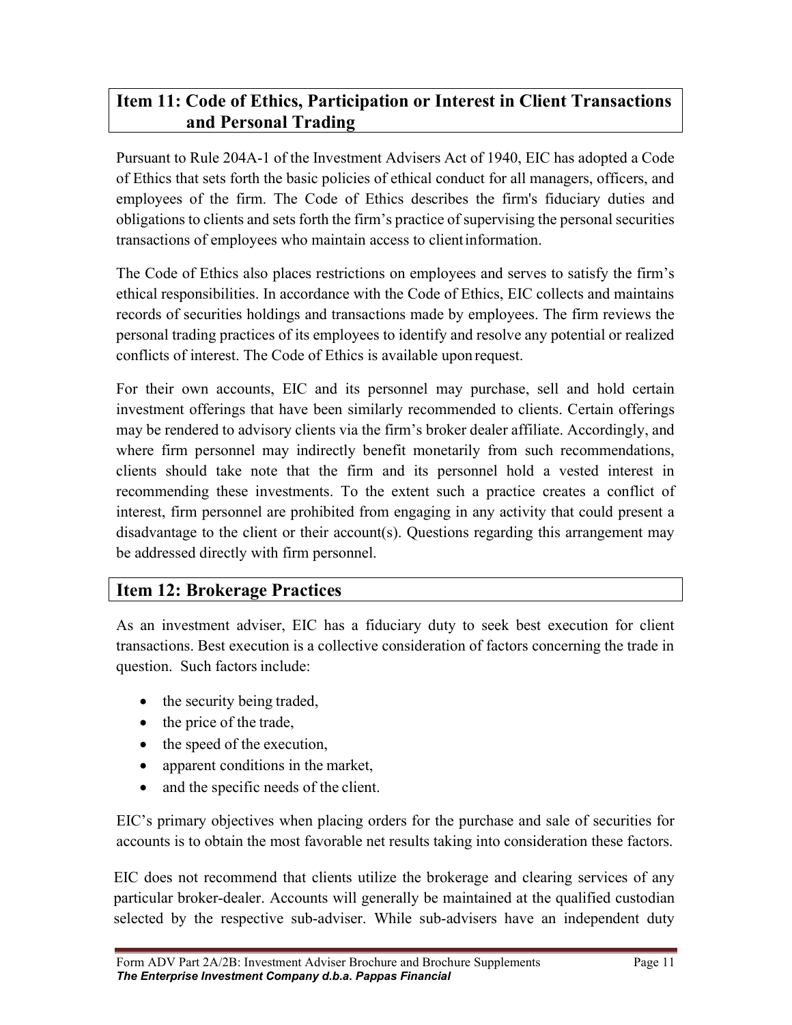# Item 11: Code of Ethics, Participation or Interest in Client Transactions and Personal Trading

Pursuant to Rule 204A-1 of the Investment Advisers Act of 1940, EIC has adopted a Code of Ethics that sets forth the basic policies of ethical conduct for all managers, officers, and employees of the firm. The Code of Ethics describes the firm's fiduciary duties and obligations to clients and sets forth the firm's practice of supervising the personal securities transactions of employees who maintain access to client information.

The Code of Ethics also places restrictions on employees and serves to satisfy the firm's ethical responsibilities. In accordance with the Code of Ethics, EIC collects and maintains records of securities holdings and transactions made by employees. The firm reviews the personal trading practices of its employees to identify and resolve any potential or realized conflicts of interest. The Code of Ethics is available upon request.

For their own accounts, EIC and its personnel may purchase, sell and hold certain investment offerings that have been similarly recommended to clients. Certain offerings may be rendered to advisory clients via the firm's broker dealer affiliate. Accordingly, and where firm personnel may indirectly benefit monetarily from such recommendations, clients should take note that the firm and its personnel hold a vested interest in recommending these investments. To the extent such a practice creates a conflict of interest, firm personnel are prohibited from engaging in any activity that could present a disadvantage to the client or their account(s). Questions regarding this arrangement may be addressed directly with firm personnel.

# Item 12: Brokerage Practices

As an investment adviser, EIC has a fiduciary duty to seek best execution for client transactions. Best execution is a collective consideration of factors concerning the trade in question. Such factors include:

- the security being traded,
- the price of the trade,
- the speed of the execution,
- apparent conditions in the market,
- and the specific needs of the client.

EIC's primary objectives when placing orders for the purchase and sale of securities for accounts is to obtain the most favorable net results taking into consideration these factors.

EIC does not recommend that clients utilize the brokerage and clearing services of any particular broker-dealer. Accounts will generally be maintained at the qualified custodian selected by the respective sub-adviser. While sub-advisers have an independent duty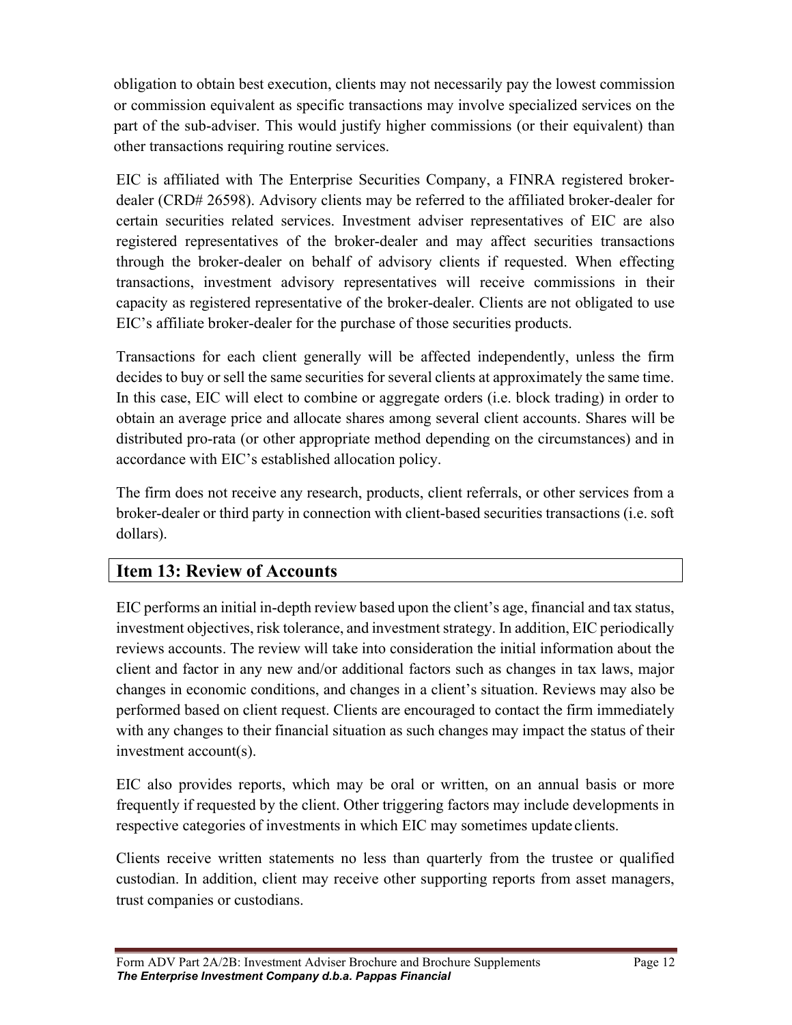obligation to obtain best execution, clients may not necessarily pay the lowest commission or commission equivalent as specific transactions may involve specialized services on the part of the sub-adviser. This would justify higher commissions (or their equivalent) than other transactions requiring routine services.

EIC is affiliated with The Enterprise Securities Company, a FINRA registered brokerdealer (CRD# 26598). Advisory clients may be referred to the affiliated broker-dealer for certain securities related services. Investment adviser representatives of EIC are also registered representatives of the broker-dealer and may affect securities transactions through the broker-dealer on behalf of advisory clients if requested. When effecting transactions, investment advisory representatives will receive commissions in their capacity as registered representative of the broker-dealer. Clients are not obligated to use EIC's affiliate broker-dealer for the purchase of those securities products.

Transactions for each client generally will be affected independently, unless the firm decides to buy or sell the same securities for several clients at approximately the same time. In this case, EIC will elect to combine or aggregate orders (i.e. block trading) in order to obtain an average price and allocate shares among several client accounts. Shares will be distributed pro-rata (or other appropriate method depending on the circumstances) and in accordance with EIC's established allocation policy.

The firm does not receive any research, products, client referrals, or other services from a broker-dealer or third party in connection with client-based securities transactions (i.e. soft dollars).

# Item 13: Review of Accounts

EIC performs an initial in-depth review based upon the client's age, financial and tax status, investment objectives, risk tolerance, and investment strategy. In addition, EIC periodically reviews accounts. The review will take into consideration the initial information about the client and factor in any new and/or additional factors such as changes in tax laws, major changes in economic conditions, and changes in a client's situation. Reviews may also be performed based on client request. Clients are encouraged to contact the firm immediately with any changes to their financial situation as such changes may impact the status of their investment account(s).

EIC also provides reports, which may be oral or written, on an annual basis or more frequently if requested by the client. Other triggering factors may include developments in respective categories of investments in which EIC may sometimes update clients.

Clients receive written statements no less than quarterly from the trustee or qualified custodian. In addition, client may receive other supporting reports from asset managers, trust companies or custodians.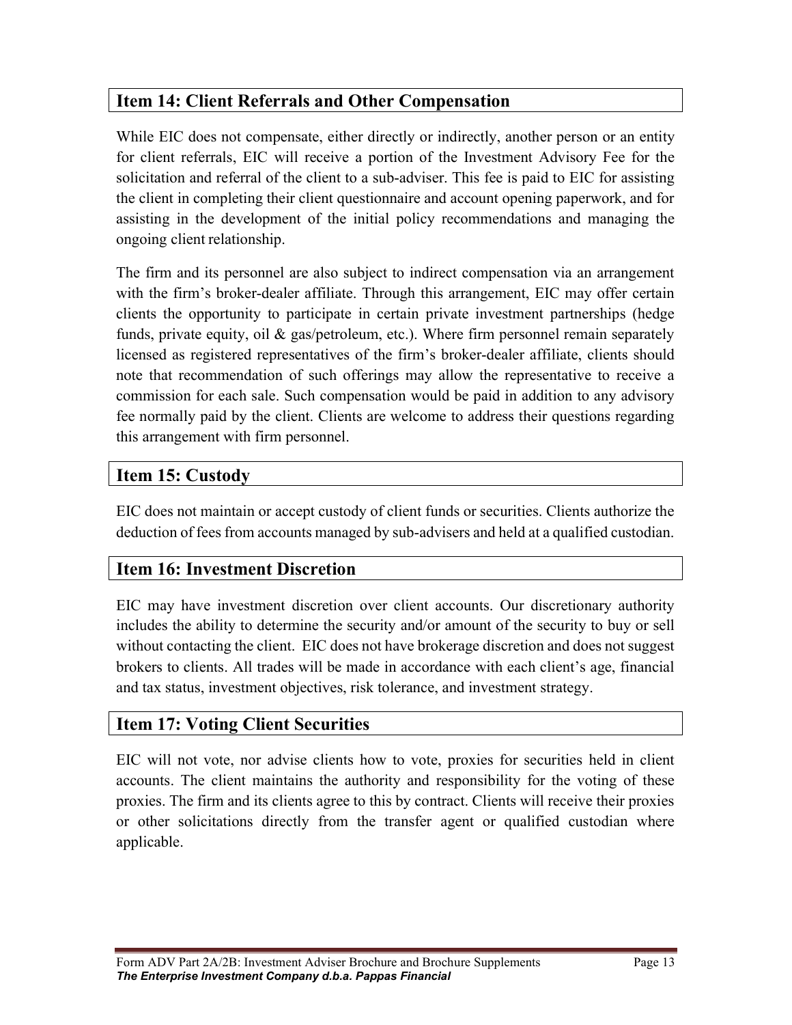# Item 14: Client Referrals and Other Compensation

While EIC does not compensate, either directly or indirectly, another person or an entity for client referrals, EIC will receive a portion of the Investment Advisory Fee for the solicitation and referral of the client to a sub-adviser. This fee is paid to EIC for assisting the client in completing their client questionnaire and account opening paperwork, and for assisting in the development of the initial policy recommendations and managing the ongoing client relationship.

The firm and its personnel are also subject to indirect compensation via an arrangement with the firm's broker-dealer affiliate. Through this arrangement, EIC may offer certain clients the opportunity to participate in certain private investment partnerships (hedge funds, private equity, oil & gas/petroleum, etc.). Where firm personnel remain separately licensed as registered representatives of the firm's broker-dealer affiliate, clients should note that recommendation of such offerings may allow the representative to receive a commission for each sale. Such compensation would be paid in addition to any advisory fee normally paid by the client. Clients are welcome to address their questions regarding this arrangement with firm personnel.

# Item 15: Custody

EIC does not maintain or accept custody of client funds or securities. Clients authorize the deduction of fees from accounts managed by sub-advisers and held at a qualified custodian.

# Item 16: Investment Discretion

EIC may have investment discretion over client accounts. Our discretionary authority includes the ability to determine the security and/or amount of the security to buy or sell without contacting the client. EIC does not have brokerage discretion and does not suggest brokers to clients. All trades will be made in accordance with each client's age, financial and tax status, investment objectives, risk tolerance, and investment strategy.

# Item 17: Voting Client Securities

EIC will not vote, nor advise clients how to vote, proxies for securities held in client accounts. The client maintains the authority and responsibility for the voting of these proxies. The firm and its clients agree to this by contract. Clients will receive their proxies or other solicitations directly from the transfer agent or qualified custodian where applicable.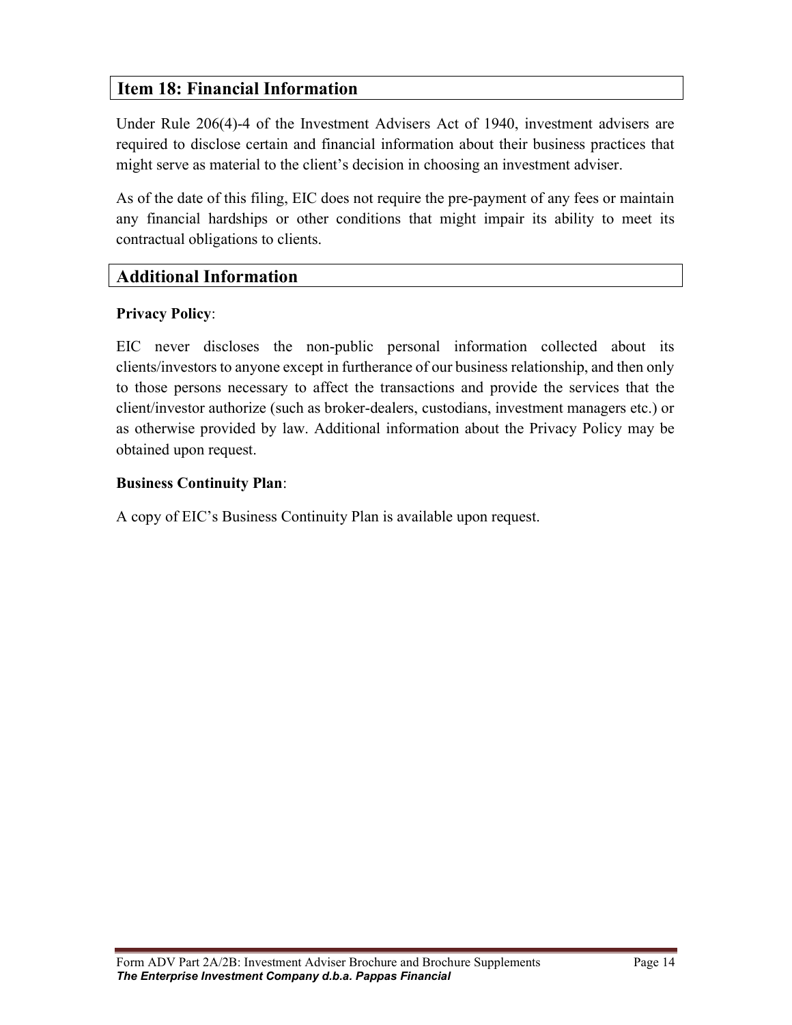# Item 18: Financial Information

Under Rule 206(4)-4 of the Investment Advisers Act of 1940, investment advisers are required to disclose certain and financial information about their business practices that might serve as material to the client's decision in choosing an investment adviser.

As of the date of this filing, EIC does not require the pre-payment of any fees or maintain any financial hardships or other conditions that might impair its ability to meet its contractual obligations to clients.

# Additional Information

#### Privacy Policy:

 $\overline{L}$ 

EIC never discloses the non-public personal information collected about its clients/investors to anyone except in furtherance of our business relationship, and then only to those persons necessary to affect the transactions and provide the services that the client/investor authorize (such as broker-dealers, custodians, investment managers etc.) or as otherwise provided by law. Additional information about the Privacy Policy may be obtained upon request.

#### Business Continuity Plan:

A copy of EIC's Business Continuity Plan is available upon request.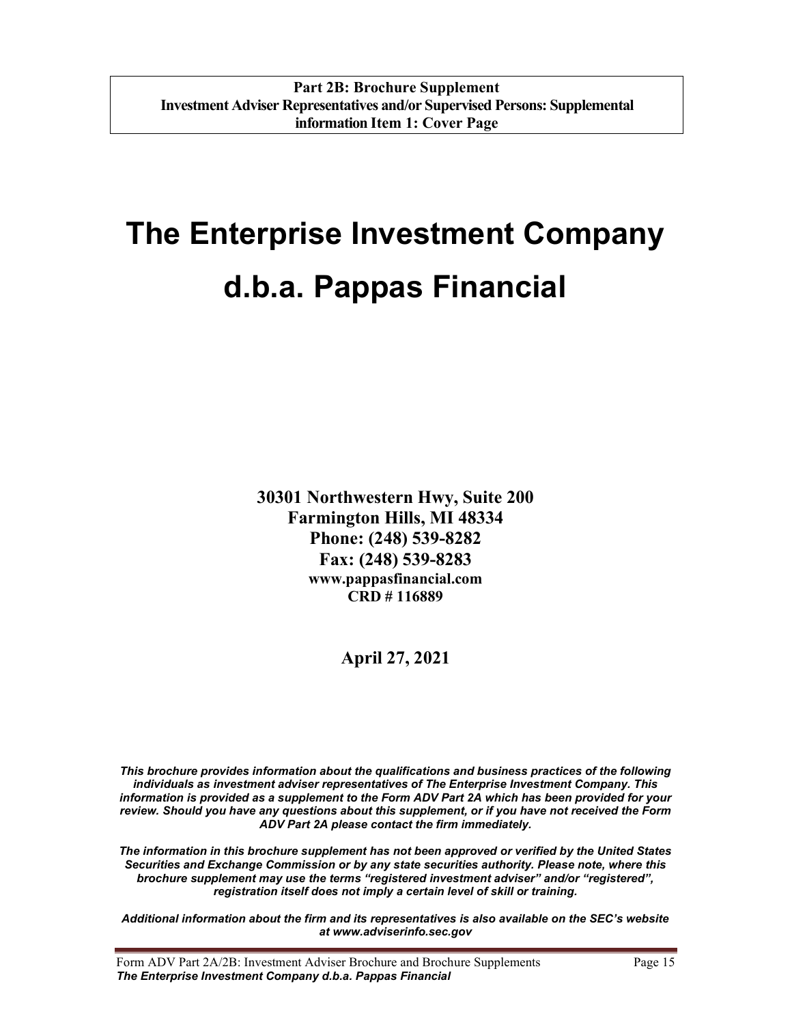# The Enterprise Investment Company d.b.a. Pappas Financial

30301 Northwestern Hwy, Suite 200 Farmington Hills, MI 48334 Phone: (248) 539-8282 Fax: (248) 539-8283 www.pappasfinancial.com CRD # 116889

April 27, 2021

This brochure provides information about the qualifications and business practices of the following individuals as investment adviser representatives of The Enterprise Investment Company. This information is provided as a supplement to the Form ADV Part 2A which has been provided for your review. Should you have any questions about this supplement, or if you have not received the Form ADV Part 2A please contact the firm immediately.

The information in this brochure supplement has not been approved or verified by the United States Securities and Exchange Commission or by any state securities authority. Please note, where this brochure supplement may use the terms "registered investment adviser" and/or "registered", registration itself does not imply a certain level of skill or training.

Additional information about the firm and its representatives is also available on the SEC's website at www.adviserinfo.sec.gov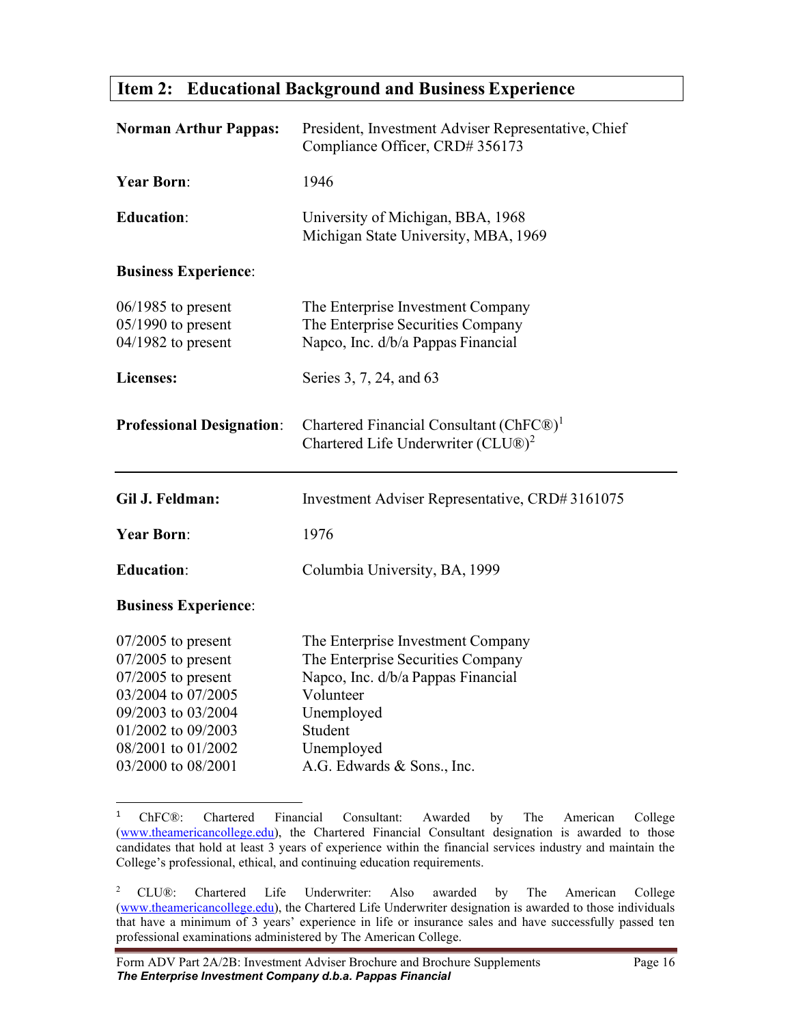### Item 2: Educational Background and Business Experience

| <b>Norman Arthur Pappas:</b>                                         | President, Investment Adviser Representative, Chief<br>Compliance Officer, CRD# 356173                       |
|----------------------------------------------------------------------|--------------------------------------------------------------------------------------------------------------|
| <b>Year Born:</b>                                                    | 1946                                                                                                         |
| <b>Education:</b>                                                    | University of Michigan, BBA, 1968<br>Michigan State University, MBA, 1969                                    |
| <b>Business Experience:</b>                                          |                                                                                                              |
| $06/1985$ to present<br>$05/1990$ to present<br>$04/1982$ to present | The Enterprise Investment Company<br>The Enterprise Securities Company<br>Napco, Inc. d/b/a Pappas Financial |
| Licenses:                                                            | Series 3, 7, 24, and 63                                                                                      |
| <b>Professional Designation:</b>                                     | Chartered Financial Consultant (ChFC®) <sup>1</sup><br>Chartered Life Underwriter (CLU®) <sup>2</sup>        |
|                                                                      |                                                                                                              |
| Gil J. Feldman:                                                      | Investment Adviser Representative, CRD#3161075                                                               |
| <b>Year Born:</b>                                                    | 1976                                                                                                         |
| <b>Education:</b>                                                    | Columbia University, BA, 1999                                                                                |
| <b>Business Experience:</b>                                          |                                                                                                              |

<sup>&</sup>lt;sup>1</sup> ChFC®: Chartered Financial Consultant: Awarded by The American College (www.theamericancollege.edu), the Chartered Financial Consultant designation is awarded to those candidates that hold at least 3 years of experience within the financial services industry and maintain the College's professional, ethical, and continuing education requirements.

<sup>&</sup>lt;sup>2</sup> CLU®: Chartered Life Underwriter: Also awarded by The American College (www.theamericancollege.edu), the Chartered Life Underwriter designation is awarded to those individuals that have a minimum of 3 years' experience in life or insurance sales and have successfully passed ten professional examinations administered by The American College.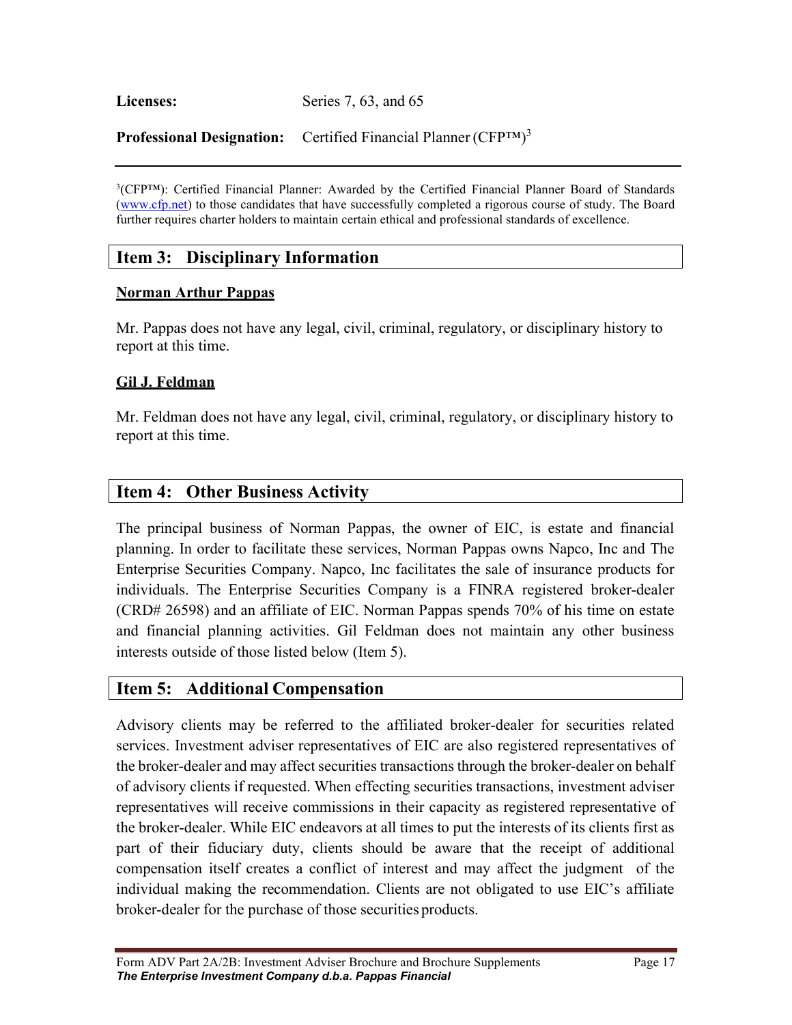Licenses: Series 7, 63, and 65

Professional Designation: Certified Financial Planner (CFP™)<sup>3</sup>

<sup>3</sup>(CFP<sup>TM</sup>): Certified Financial Planner: Awarded by the Certified Financial Planner Board of Standards (www.cfp.net) to those candidates that have successfully completed a rigorous course of study. The Board further requires charter holders to maintain certain ethical and professional standards of excellence.

# Item 3: Disciplinary Information

#### Norman Arthur Pappas

Mr. Pappas does not have any legal, civil, criminal, regulatory, or disciplinary history to report at this time.

#### Gil J. Feldman

Mr. Feldman does not have any legal, civil, criminal, regulatory, or disciplinary history to report at this time.

### Item 4: Other Business Activity

The principal business of Norman Pappas, the owner of EIC, is estate and financial planning. In order to facilitate these services, Norman Pappas owns Napco, Inc and The Enterprise Securities Company. Napco, Inc facilitates the sale of insurance products for individuals. The Enterprise Securities Company is a FINRA registered broker-dealer (CRD# 26598) and an affiliate of EIC. Norman Pappas spends 70% of his time on estate and financial planning activities. Gil Feldman does not maintain any other business interests outside of those listed below (Item 5).

### Item 5: Additional Compensation

Advisory clients may be referred to the affiliated broker-dealer for securities related services. Investment adviser representatives of EIC are also registered representatives of the broker-dealer and may affect securities transactions through the broker-dealer on behalf of advisory clients if requested. When effecting securities transactions, investment adviser representatives will receive commissions in their capacity as registered representative of the broker-dealer. While EIC endeavors at all times to put the interests of its clients first as part of their fiduciary duty, clients should be aware that the receipt of additional compensation itself creates a conflict of interest and may affect the judgment of the individual making the recommendation. Clients are not obligated to use EIC's affiliate broker-dealer for the purchase of those securities products.